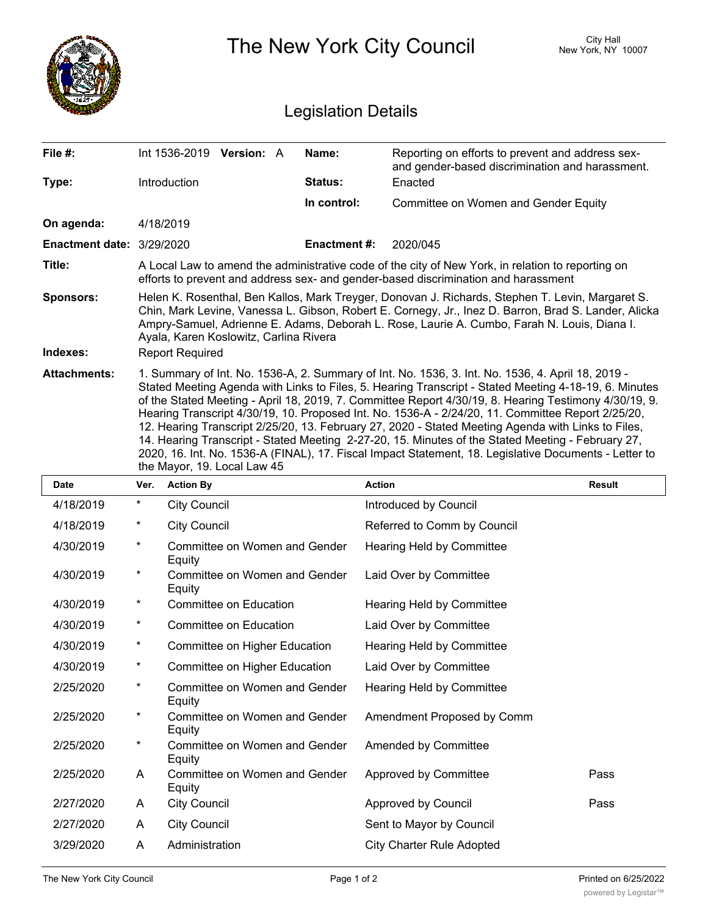

| 4/30/2019 | *          | Committee on Women and Gender<br>Equity | Hearing Held by Committee        |      |
|-----------|------------|-----------------------------------------|----------------------------------|------|
| 4/30/2019 | *          | Committee on Women and Gender<br>Equity | Laid Over by Committee           |      |
| 4/30/2019 | *          | Committee on Education                  | <b>Hearing Held by Committee</b> |      |
| 4/30/2019 | *          | Committee on Education                  | Laid Over by Committee           |      |
| 4/30/2019 | *          | Committee on Higher Education           | Hearing Held by Committee        |      |
| 4/30/2019 | $^{\star}$ | Committee on Higher Education           | Laid Over by Committee           |      |
| 2/25/2020 | *          | Committee on Women and Gender<br>Equity | Hearing Held by Committee        |      |
| 2/25/2020 | *          | Committee on Women and Gender<br>Equity | Amendment Proposed by Comm       |      |
| 2/25/2020 | *          | Committee on Women and Gender<br>Equity | Amended by Committee             |      |
| 2/25/2020 | A          | Committee on Women and Gender<br>Equity | Approved by Committee            | Pass |
| 2/27/2020 | A          | <b>City Council</b>                     | Approved by Council              | Pass |
| 2/27/2020 | A          | <b>City Council</b>                     | Sent to Mayor by Council         |      |
| 3/29/2020 | A          | Administration                          | <b>City Charter Rule Adopted</b> |      |
|           |            |                                         |                                  |      |